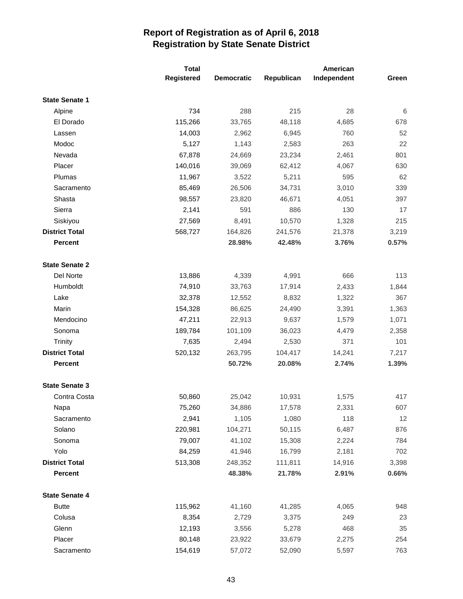|                       | <b>Total</b> |                   | American   |             |       |
|-----------------------|--------------|-------------------|------------|-------------|-------|
|                       | Registered   | <b>Democratic</b> | Republican | Independent | Green |
| <b>State Senate 1</b> |              |                   |            |             |       |
| Alpine                | 734          | 288               | 215        | 28          | 6     |
| El Dorado             | 115,266      | 33,765            | 48,118     | 4,685       | 678   |
| Lassen                | 14,003       | 2,962             | 6,945      | 760         | 52    |
| Modoc                 | 5,127        | 1,143             | 2,583      | 263         | 22    |
| Nevada                | 67,878       | 24,669            | 23,234     | 2,461       | 801   |
| Placer                | 140,016      | 39,069            | 62,412     | 4,067       | 630   |
| Plumas                | 11,967       | 3,522             | 5,211      | 595         | 62    |
| Sacramento            | 85,469       | 26,506            | 34,731     | 3,010       | 339   |
| Shasta                | 98,557       | 23,820            | 46,671     | 4,051       | 397   |
| Sierra                | 2,141        | 591               | 886        | 130         | 17    |
| Siskiyou              | 27,569       | 8,491             | 10,570     | 1,328       | 215   |
| <b>District Total</b> | 568,727      | 164,826           | 241,576    | 21,378      | 3,219 |
| <b>Percent</b>        |              | 28.98%            | 42.48%     | 3.76%       | 0.57% |
| <b>State Senate 2</b> |              |                   |            |             |       |
| Del Norte             | 13,886       | 4,339             | 4,991      | 666         | 113   |
| Humboldt              | 74,910       | 33,763            | 17,914     | 2,433       | 1,844 |
| Lake                  | 32,378       | 12,552            | 8,832      | 1,322       | 367   |
| Marin                 | 154,328      | 86,625            | 24,490     | 3,391       | 1,363 |
| Mendocino             | 47,211       | 22,913            | 9,637      | 1,579       | 1,071 |
| Sonoma                | 189,784      | 101,109           | 36,023     | 4,479       | 2,358 |
| <b>Trinity</b>        | 7,635        | 2,494             | 2,530      | 371         | 101   |
| <b>District Total</b> | 520,132      | 263,795           | 104,417    | 14,241      | 7,217 |
| <b>Percent</b>        |              | 50.72%            | 20.08%     | 2.74%       | 1.39% |
| <b>State Senate 3</b> |              |                   |            |             |       |
| Contra Costa          | 50,860       | 25,042            | 10,931     | 1,575       | 417   |
| Napa                  | 75,260       | 34,886            | 17,578     | 2,331       | 607   |
| Sacramento            | 2,941        | 1,105             | 1,080      | 118         | 12    |
| Solano                | 220,981      | 104,271           | 50,115     | 6,487       | 876   |
| Sonoma                | 79,007       | 41,102            | 15,308     | 2,224       | 784   |
| Yolo                  | 84,259       | 41,946            | 16,799     | 2,181       | 702   |
| <b>District Total</b> | 513,308      | 248,352           | 111,811    | 14,916      | 3,398 |
| Percent               |              | 48.38%            | 21.78%     | 2.91%       | 0.66% |
| <b>State Senate 4</b> |              |                   |            |             |       |
| <b>Butte</b>          | 115,962      | 41,160            | 41,285     | 4,065       | 948   |
| Colusa                | 8,354        | 2,729             | 3,375      | 249         | 23    |
| Glenn                 | 12,193       | 3,556             | 5,278      | 468         | 35    |
| Placer                | 80,148       | 23,922            | 33,679     | 2,275       | 254   |
| Sacramento            | 154,619      | 57,072            | 52,090     | 5,597       | 763   |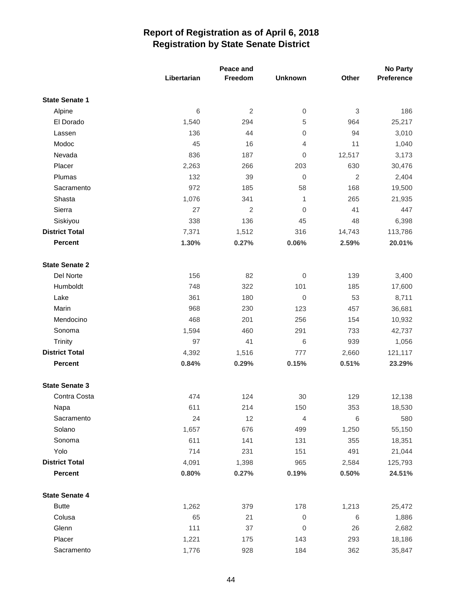|                       |             | Peace and      |                  |                | <b>No Party</b> |
|-----------------------|-------------|----------------|------------------|----------------|-----------------|
|                       | Libertarian | Freedom        | <b>Unknown</b>   | Other          | Preference      |
| <b>State Senate 1</b> |             |                |                  |                |                 |
| Alpine                | $\,6$       | $\overline{2}$ | $\mathbf 0$      | $\sqrt{3}$     | 186             |
| El Dorado             | 1,540       | 294            | 5                | 964            | 25,217          |
| Lassen                | 136         | 44             | 0                | 94             | 3,010           |
| Modoc                 | 45          | 16             | $\overline{4}$   | 11             | 1,040           |
| Nevada                | 836         | 187            | 0                | 12,517         | 3,173           |
| Placer                | 2,263       | 266            | 203              | 630            | 30,476          |
| Plumas                | 132         | 39             | $\boldsymbol{0}$ | $\overline{2}$ | 2,404           |
| Sacramento            | 972         | 185            | 58               | 168            | 19,500          |
| Shasta                | 1,076       | 341            | 1                | 265            | 21,935          |
| Sierra                | 27          | $\overline{2}$ | $\mathbf 0$      | 41             | 447             |
| Siskiyou              | 338         | 136            | 45               | 48             | 6,398           |
| <b>District Total</b> | 7,371       | 1,512          | 316              | 14,743         | 113,786         |
| <b>Percent</b>        | 1.30%       | 0.27%          | 0.06%            | 2.59%          | 20.01%          |
| <b>State Senate 2</b> |             |                |                  |                |                 |
| Del Norte             | 156         | 82             | $\boldsymbol{0}$ | 139            | 3,400           |
| Humboldt              | 748         | 322            | 101              | 185            | 17,600          |
| Lake                  | 361         | 180            | $\mathbf 0$      | 53             | 8,711           |
| Marin                 | 968         | 230            | 123              | 457            | 36,681          |
| Mendocino             | 468         | 201            | 256              | 154            | 10,932          |
| Sonoma                | 1,594       | 460            | 291              | 733            | 42,737          |
| <b>Trinity</b>        | 97          | 41             | $\,6$            | 939            | 1,056           |
| <b>District Total</b> | 4,392       | 1,516          | 777              | 2,660          | 121,117         |
| <b>Percent</b>        | 0.84%       | 0.29%          | 0.15%            | 0.51%          | 23.29%          |
| <b>State Senate 3</b> |             |                |                  |                |                 |
| Contra Costa          | 474         | 124            | 30               | 129            | 12,138          |
| Napa                  | 611         | 214            | 150              | 353            | 18,530          |
| Sacramento            | 24          | 12             | $\overline{4}$   | $\,6$          | 580             |
| Solano                | 1,657       | 676            | 499              | 1,250          | 55,150          |
| Sonoma                | 611         | 141            | 131              | 355            | 18,351          |
| Yolo                  | 714         | 231            | 151              | 491            | 21,044          |
| <b>District Total</b> | 4,091       | 1,398          | 965              | 2,584          | 125,793         |
| Percent               | 0.80%       | 0.27%          | 0.19%            | 0.50%          | 24.51%          |
| <b>State Senate 4</b> |             |                |                  |                |                 |
| <b>Butte</b>          | 1,262       | 379            | 178              | 1,213          | 25,472          |
| Colusa                | 65          | 21             | $\mathbf 0$      | $\,6$          | 1,886           |
| Glenn                 | 111         | 37             | 0                | 26             | 2,682           |
| Placer                | 1,221       | 175            | 143              | 293            | 18,186          |
| Sacramento            | 1,776       | 928            | 184              | 362            | 35,847          |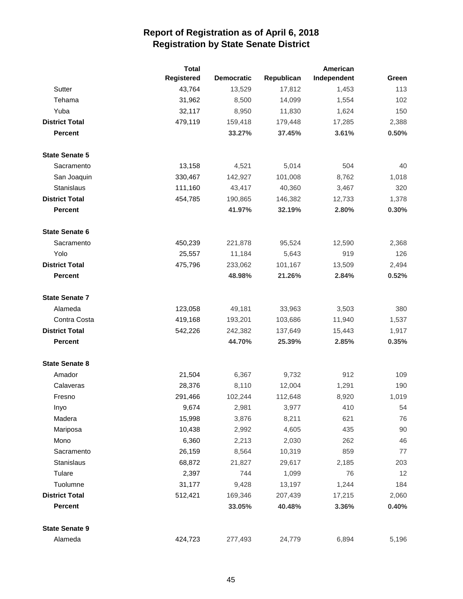|                       | <b>Total</b> |                   | American   |             |       |
|-----------------------|--------------|-------------------|------------|-------------|-------|
|                       | Registered   | <b>Democratic</b> | Republican | Independent | Green |
| Sutter                | 43,764       | 13,529            | 17,812     | 1,453       | 113   |
| Tehama                | 31,962       | 8,500             | 14,099     | 1,554       | 102   |
| Yuba                  | 32,117       | 8,950             | 11,830     | 1,624       | 150   |
| <b>District Total</b> | 479,119      | 159,418           | 179,448    | 17,285      | 2,388 |
| <b>Percent</b>        |              | 33.27%            | 37.45%     | 3.61%       | 0.50% |
| <b>State Senate 5</b> |              |                   |            |             |       |
| Sacramento            | 13,158       | 4,521             | 5,014      | 504         | 40    |
| San Joaquin           | 330,467      | 142,927           | 101,008    | 8,762       | 1,018 |
| Stanislaus            | 111,160      | 43,417            | 40,360     | 3,467       | 320   |
| <b>District Total</b> | 454,785      | 190,865           | 146,382    | 12,733      | 1,378 |
| <b>Percent</b>        |              | 41.97%            | 32.19%     | 2.80%       | 0.30% |
| <b>State Senate 6</b> |              |                   |            |             |       |
| Sacramento            | 450,239      | 221,878           | 95,524     | 12,590      | 2,368 |
| Yolo                  | 25,557       | 11,184            | 5,643      | 919         | 126   |
| <b>District Total</b> | 475,796      | 233,062           | 101,167    | 13,509      | 2,494 |
| <b>Percent</b>        |              | 48.98%            | 21.26%     | 2.84%       | 0.52% |
| <b>State Senate 7</b> |              |                   |            |             |       |
| Alameda               | 123,058      | 49,181            | 33,963     | 3,503       | 380   |
| Contra Costa          | 419,168      | 193,201           | 103,686    | 11,940      | 1,537 |
| <b>District Total</b> | 542,226      | 242,382           | 137,649    | 15,443      | 1,917 |
| <b>Percent</b>        |              | 44.70%            | 25.39%     | 2.85%       | 0.35% |
| <b>State Senate 8</b> |              |                   |            |             |       |
| Amador                | 21,504       | 6,367             | 9,732      | 912         | 109   |
| Calaveras             | 28,376       | 8,110             | 12,004     | 1,291       | 190   |
| Fresno                | 291,466      | 102,244           | 112,648    | 8,920       | 1,019 |
| Inyo                  | 9,674        | 2,981             | 3,977      | 410         | 54    |
| Madera                | 15,998       | 3,876             | 8,211      | 621         | 76    |
| Mariposa              | 10,438       | 2,992             | 4,605      | 435         | 90    |
| Mono                  | 6,360        | 2,213             | 2,030      | 262         | 46    |
| Sacramento            | 26,159       | 8,564             | 10,319     | 859         | 77    |
| Stanislaus            | 68,872       | 21,827            | 29,617     | 2,185       | 203   |
| Tulare                | 2,397        | 744               | 1,099      | 76          | 12    |
| Tuolumne              | 31,177       | 9,428             | 13,197     | 1,244       | 184   |
| <b>District Total</b> | 512,421      | 169,346           | 207,439    | 17,215      | 2,060 |
| <b>Percent</b>        |              | 33.05%            | 40.48%     | 3.36%       | 0.40% |
| <b>State Senate 9</b> |              |                   |            |             |       |
| Alameda               | 424,723      | 277,493           | 24,779     | 6,894       | 5,196 |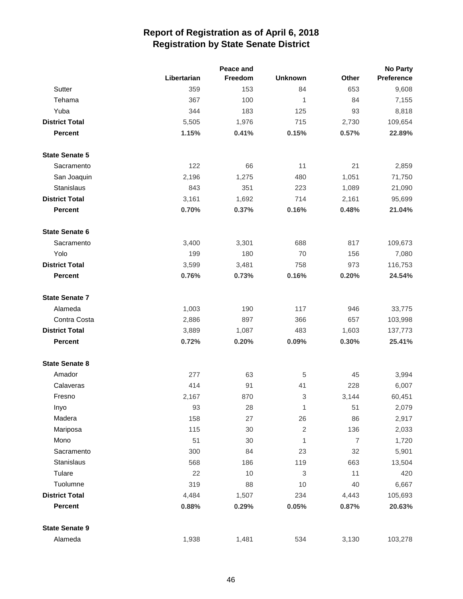|                       |             | Peace and |                           |                | <b>No Party</b>   |
|-----------------------|-------------|-----------|---------------------------|----------------|-------------------|
|                       | Libertarian | Freedom   | <b>Unknown</b>            | Other          | <b>Preference</b> |
| Sutter                | 359         | 153       | 84                        | 653            | 9,608             |
| Tehama                | 367         | 100       | 1                         | 84             | 7,155             |
| Yuba                  | 344         | 183       | 125                       | 93             | 8,818             |
| <b>District Total</b> | 5,505       | 1,976     | 715                       | 2,730          | 109,654           |
| <b>Percent</b>        | 1.15%       | 0.41%     | 0.15%                     | 0.57%          | 22.89%            |
| <b>State Senate 5</b> |             |           |                           |                |                   |
| Sacramento            | 122         | 66        | 11                        | 21             | 2,859             |
| San Joaquin           | 2,196       | 1,275     | 480                       | 1,051          | 71,750            |
| Stanislaus            | 843         | 351       | 223                       | 1,089          | 21,090            |
| <b>District Total</b> | 3,161       | 1,692     | 714                       | 2,161          | 95,699            |
| <b>Percent</b>        | 0.70%       | 0.37%     | 0.16%                     | 0.48%          | 21.04%            |
| <b>State Senate 6</b> |             |           |                           |                |                   |
| Sacramento            | 3,400       | 3,301     | 688                       | 817            | 109,673           |
| Yolo                  | 199         | 180       | 70                        | 156            | 7,080             |
| <b>District Total</b> | 3,599       | 3,481     | 758                       | 973            | 116,753           |
| <b>Percent</b>        | 0.76%       | 0.73%     | 0.16%                     | 0.20%          | 24.54%            |
| <b>State Senate 7</b> |             |           |                           |                |                   |
| Alameda               | 1,003       | 190       | 117                       | 946            | 33,775            |
| Contra Costa          | 2,886       | 897       | 366                       | 657            | 103,998           |
| <b>District Total</b> | 3,889       | 1,087     | 483                       | 1,603          | 137,773           |
| <b>Percent</b>        | 0.72%       | 0.20%     | 0.09%                     | 0.30%          | 25.41%            |
| <b>State Senate 8</b> |             |           |                           |                |                   |
| Amador                | 277         | 63        | 5                         | 45             | 3,994             |
| Calaveras             | 414         | 91        | 41                        | 228            | 6,007             |
| Fresno                | 2,167       | 870       | $\ensuremath{\mathsf{3}}$ | 3,144          | 60,451            |
| Inyo                  | 93          | 28        | $\mathbf{1}$              | 51             | 2,079             |
| Madera                | 158         | 27        | 26                        | 86             | 2,917             |
| Mariposa              | 115         | 30        | $\sqrt{2}$                | 136            | 2,033             |
| Mono                  | 51          | 30        | 1                         | $\overline{7}$ | 1,720             |
| Sacramento            | 300         | 84        | 23                        | 32             | 5,901             |
| Stanislaus            | 568         | 186       | 119                       | 663            | 13,504            |
| Tulare                | 22          | 10        | 3                         | 11             | 420               |
| Tuolumne              | 319         | 88        | 10                        | 40             | 6,667             |
| <b>District Total</b> | 4,484       | 1,507     | 234                       | 4,443          | 105,693           |
| <b>Percent</b>        | 0.88%       | 0.29%     | 0.05%                     | 0.87%          | 20.63%            |
| <b>State Senate 9</b> |             |           |                           |                |                   |
| Alameda               | 1,938       | 1,481     | 534                       | 3,130          | 103,278           |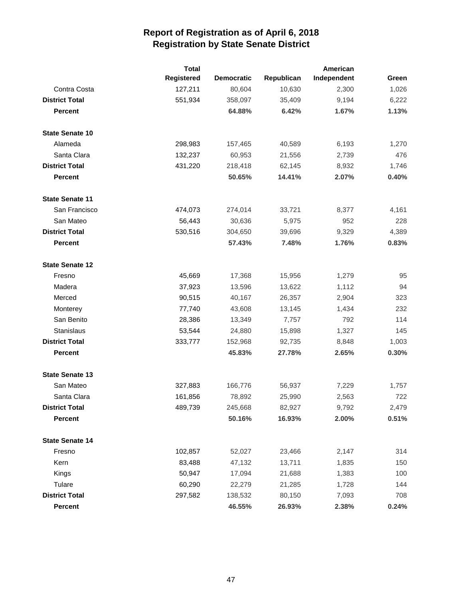|                        | <b>Total</b>      | American          |            |             |       |
|------------------------|-------------------|-------------------|------------|-------------|-------|
|                        | <b>Registered</b> | <b>Democratic</b> | Republican | Independent | Green |
| Contra Costa           | 127,211           | 80,604            | 10,630     | 2,300       | 1,026 |
| <b>District Total</b>  | 551,934           | 358,097           | 35,409     | 9,194       | 6,222 |
| <b>Percent</b>         |                   | 64.88%            | 6.42%      | 1.67%       | 1.13% |
| <b>State Senate 10</b> |                   |                   |            |             |       |
| Alameda                | 298,983           | 157,465           | 40,589     | 6,193       | 1,270 |
| Santa Clara            | 132,237           | 60,953            | 21,556     | 2,739       | 476   |
| <b>District Total</b>  | 431,220           | 218,418           | 62,145     | 8,932       | 1,746 |
| <b>Percent</b>         |                   | 50.65%            | 14.41%     | 2.07%       | 0.40% |
| <b>State Senate 11</b> |                   |                   |            |             |       |
| San Francisco          | 474,073           | 274,014           | 33,721     | 8,377       | 4,161 |
| San Mateo              | 56,443            | 30,636            | 5,975      | 952         | 228   |
| <b>District Total</b>  | 530,516           | 304,650           | 39,696     | 9,329       | 4,389 |
| <b>Percent</b>         |                   | 57.43%            | 7.48%      | 1.76%       | 0.83% |
| <b>State Senate 12</b> |                   |                   |            |             |       |
| Fresno                 | 45,669            | 17,368            | 15,956     | 1,279       | 95    |
| Madera                 | 37,923            | 13,596            | 13,622     | 1,112       | 94    |
| Merced                 | 90,515            | 40,167            | 26,357     | 2,904       | 323   |
| Monterey               | 77,740            | 43,608            | 13,145     | 1,434       | 232   |
| San Benito             | 28,386            | 13,349            | 7,757      | 792         | 114   |
| Stanislaus             | 53,544            | 24,880            | 15,898     | 1,327       | 145   |
| <b>District Total</b>  | 333,777           | 152,968           | 92,735     | 8,848       | 1,003 |
| <b>Percent</b>         |                   | 45.83%            | 27.78%     | 2.65%       | 0.30% |
| <b>State Senate 13</b> |                   |                   |            |             |       |
| San Mateo              | 327,883           | 166,776           | 56,937     | 7,229       | 1,757 |
| Santa Clara            | 161,856           | 78,892            | 25,990     | 2,563       | 722   |
| <b>District Total</b>  | 489,739           | 245,668           | 82,927     | 9,792       | 2,479 |
| Percent                |                   | 50.16%            | 16.93%     | 2.00%       | 0.51% |
| <b>State Senate 14</b> |                   |                   |            |             |       |
| Fresno                 | 102,857           | 52,027            | 23,466     | 2,147       | 314   |
| Kern                   | 83,488            | 47,132            | 13,711     | 1,835       | 150   |
| Kings                  | 50,947            | 17,094            | 21,688     | 1,383       | 100   |
| Tulare                 | 60,290            | 22,279            | 21,285     | 1,728       | 144   |
| <b>District Total</b>  | 297,582           | 138,532           | 80,150     | 7,093       | 708   |
| Percent                |                   | 46.55%            | 26.93%     | 2.38%       | 0.24% |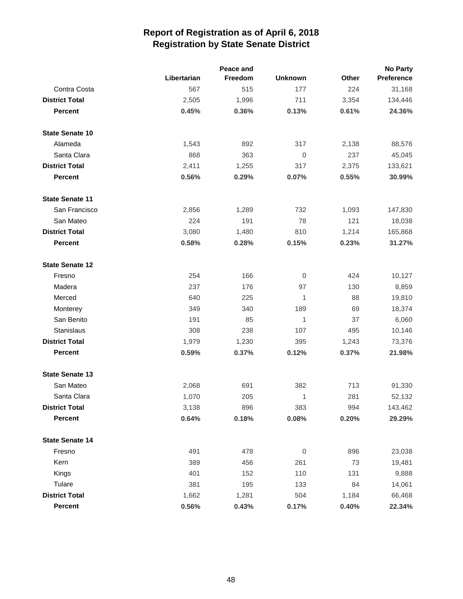|                        |             | Peace and |                  |       | <b>No Party</b>   |
|------------------------|-------------|-----------|------------------|-------|-------------------|
|                        | Libertarian | Freedom   | <b>Unknown</b>   | Other | <b>Preference</b> |
| Contra Costa           | 567         | 515       | 177              | 224   | 31,168            |
| <b>District Total</b>  | 2,505       | 1,996     | 711              | 3,354 | 134,446           |
| <b>Percent</b>         | 0.45%       | 0.36%     | 0.13%            | 0.61% | 24.36%            |
| <b>State Senate 10</b> |             |           |                  |       |                   |
| Alameda                | 1,543       | 892       | 317              | 2,138 | 88,576            |
| Santa Clara            | 868         | 363       | $\boldsymbol{0}$ | 237   | 45,045            |
| <b>District Total</b>  | 2,411       | 1,255     | 317              | 2,375 | 133,621           |
| <b>Percent</b>         | 0.56%       | 0.29%     | 0.07%            | 0.55% | 30.99%            |
| <b>State Senate 11</b> |             |           |                  |       |                   |
| San Francisco          | 2,856       | 1,289     | 732              | 1,093 | 147,830           |
| San Mateo              | 224         | 191       | 78               | 121   | 18,038            |
| <b>District Total</b>  | 3,080       | 1,480     | 810              | 1,214 | 165,868           |
| <b>Percent</b>         | 0.58%       | 0.28%     | 0.15%            | 0.23% | 31.27%            |
| <b>State Senate 12</b> |             |           |                  |       |                   |
| Fresno                 | 254         | 166       | $\mathbf 0$      | 424   | 10,127            |
| Madera                 | 237         | 176       | 97               | 130   | 8,859             |
| Merced                 | 640         | 225       | $\mathbf{1}$     | 88    | 19,810            |
| Monterey               | 349         | 340       | 189              | 69    | 18,374            |
| San Benito             | 191         | 85        | 1                | 37    | 6,060             |
| Stanislaus             | 308         | 238       | 107              | 495   | 10,146            |
| <b>District Total</b>  | 1,979       | 1,230     | 395              | 1,243 | 73,376            |
| <b>Percent</b>         | 0.59%       | 0.37%     | 0.12%            | 0.37% | 21.98%            |
| <b>State Senate 13</b> |             |           |                  |       |                   |
| San Mateo              | 2,068       | 691       | 382              | 713   | 91,330            |
| Santa Clara            | 1,070       | 205       | 1                | 281   | 52,132            |
| <b>District Total</b>  | 3,138       | 896       | 383              | 994   | 143,462           |
| Percent                | 0.64%       | 0.18%     | 0.08%            | 0.20% | 29.29%            |
| <b>State Senate 14</b> |             |           |                  |       |                   |
| Fresno                 | 491         | 478       | $\overline{0}$   | 896   | 23,038            |
| Kern                   | 389         | 456       | 261              | 73    | 19,481            |
| Kings                  | 401         | 152       | 110              | 131   | 9,888             |
| Tulare                 | 381         | 195       | 133              | 84    | 14,061            |
| <b>District Total</b>  | 1,662       | 1,281     | 504              | 1,184 | 66,468            |
| <b>Percent</b>         | 0.56%       | 0.43%     | 0.17%            | 0.40% | 22.34%            |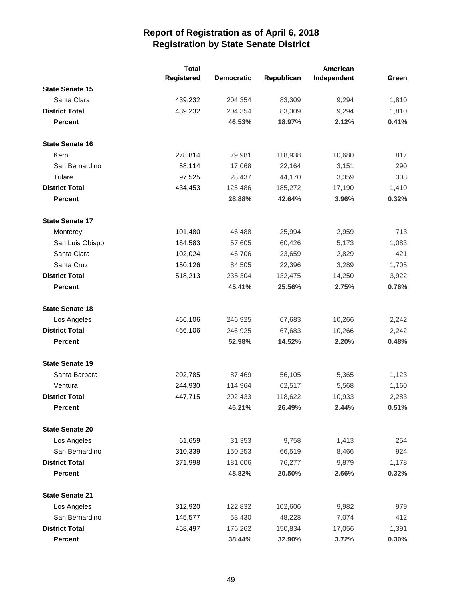|                        | <b>Total</b> |                   |            | American    |       |
|------------------------|--------------|-------------------|------------|-------------|-------|
|                        | Registered   | <b>Democratic</b> | Republican | Independent | Green |
| <b>State Senate 15</b> |              |                   |            |             |       |
| Santa Clara            | 439,232      | 204,354           | 83,309     | 9,294       | 1,810 |
| <b>District Total</b>  | 439,232      | 204,354           | 83,309     | 9,294       | 1,810 |
| <b>Percent</b>         |              | 46.53%            | 18.97%     | 2.12%       | 0.41% |
| <b>State Senate 16</b> |              |                   |            |             |       |
| Kern                   | 278,814      | 79,981            | 118,938    | 10,680      | 817   |
| San Bernardino         | 58,114       | 17,068            | 22,164     | 3,151       | 290   |
| Tulare                 | 97,525       | 28,437            | 44,170     | 3,359       | 303   |
| <b>District Total</b>  | 434,453      | 125,486           | 185,272    | 17,190      | 1,410 |
| <b>Percent</b>         |              | 28.88%            | 42.64%     | 3.96%       | 0.32% |
| <b>State Senate 17</b> |              |                   |            |             |       |
| Monterey               | 101,480      | 46,488            | 25,994     | 2,959       | 713   |
| San Luis Obispo        | 164,583      | 57,605            | 60,426     | 5,173       | 1,083 |
| Santa Clara            | 102,024      | 46,706            | 23,659     | 2,829       | 421   |
| Santa Cruz             | 150,126      | 84,505            | 22,396     | 3,289       | 1,705 |
| <b>District Total</b>  | 518,213      | 235,304           | 132,475    | 14,250      | 3,922 |
| <b>Percent</b>         |              | 45.41%            | 25.56%     | 2.75%       | 0.76% |
| <b>State Senate 18</b> |              |                   |            |             |       |
| Los Angeles            | 466,106      | 246,925           | 67,683     | 10,266      | 2,242 |
| <b>District Total</b>  | 466,106      | 246,925           | 67,683     | 10,266      | 2,242 |
| <b>Percent</b>         |              | 52.98%            | 14.52%     | 2.20%       | 0.48% |
| <b>State Senate 19</b> |              |                   |            |             |       |
| Santa Barbara          | 202,785      | 87,469            | 56,105     | 5,365       | 1,123 |
| Ventura                | 244,930      | 114,964           | 62,517     | 5,568       | 1,160 |
| <b>District Total</b>  | 447,715      | 202,433           | 118,622    | 10,933      | 2,283 |
| <b>Percent</b>         |              | 45.21%            | 26.49%     | 2.44%       | 0.51% |
| <b>State Senate 20</b> |              |                   |            |             |       |
| Los Angeles            | 61,659       | 31,353            | 9,758      | 1,413       | 254   |
| San Bernardino         | 310,339      | 150,253           | 66,519     | 8,466       | 924   |
| <b>District Total</b>  | 371,998      | 181,606           | 76,277     | 9,879       | 1,178 |
| <b>Percent</b>         |              | 48.82%            | 20.50%     | 2.66%       | 0.32% |
| <b>State Senate 21</b> |              |                   |            |             |       |
| Los Angeles            | 312,920      | 122,832           | 102,606    | 9,982       | 979   |
| San Bernardino         | 145,577      | 53,430            | 48,228     | 7,074       | 412   |
| <b>District Total</b>  | 458,497      | 176,262           | 150,834    | 17,056      | 1,391 |
| <b>Percent</b>         |              | 38.44%            | 32.90%     | 3.72%       | 0.30% |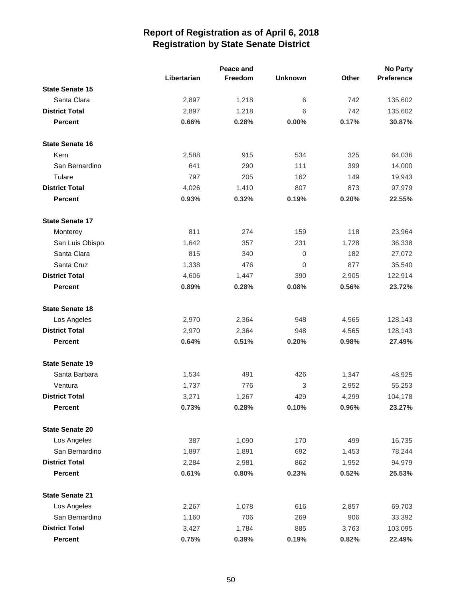|                        |             | Peace and |                |       | <b>No Party</b>   |
|------------------------|-------------|-----------|----------------|-------|-------------------|
|                        | Libertarian | Freedom   | <b>Unknown</b> | Other | <b>Preference</b> |
| <b>State Senate 15</b> |             |           |                |       |                   |
| Santa Clara            | 2,897       | 1,218     | 6              | 742   | 135,602           |
| <b>District Total</b>  | 2,897       | 1,218     | 6              | 742   | 135,602           |
| <b>Percent</b>         | 0.66%       | 0.28%     | 0.00%          | 0.17% | 30.87%            |
| <b>State Senate 16</b> |             |           |                |       |                   |
| Kern                   | 2,588       | 915       | 534            | 325   | 64,036            |
| San Bernardino         | 641         | 290       | 111            | 399   | 14,000            |
| Tulare                 | 797         | 205       | 162            | 149   | 19,943            |
| <b>District Total</b>  | 4,026       | 1,410     | 807            | 873   | 97,979            |
| <b>Percent</b>         | 0.93%       | 0.32%     | 0.19%          | 0.20% | 22.55%            |
| <b>State Senate 17</b> |             |           |                |       |                   |
| Monterey               | 811         | 274       | 159            | 118   | 23,964            |
| San Luis Obispo        | 1,642       | 357       | 231            | 1,728 | 36,338            |
| Santa Clara            | 815         | 340       | 0              | 182   | 27,072            |
| Santa Cruz             | 1,338       | 476       | 0              | 877   | 35,540            |
| <b>District Total</b>  | 4,606       | 1,447     | 390            | 2,905 | 122,914           |
| <b>Percent</b>         | 0.89%       | 0.28%     | 0.08%          | 0.56% | 23.72%            |
| <b>State Senate 18</b> |             |           |                |       |                   |
| Los Angeles            | 2,970       | 2,364     | 948            | 4,565 | 128,143           |
| <b>District Total</b>  | 2,970       | 2,364     | 948            | 4,565 | 128,143           |
| <b>Percent</b>         | 0.64%       | 0.51%     | 0.20%          | 0.98% | 27.49%            |
| <b>State Senate 19</b> |             |           |                |       |                   |
| Santa Barbara          | 1,534       | 491       | 426            | 1,347 | 48,925            |
| Ventura                | 1,737       | 776       | 3              | 2,952 | 55,253            |
| <b>District Total</b>  | 3,271       | 1,267     | 429            | 4,299 | 104,178           |
| <b>Percent</b>         | 0.73%       | 0.28%     | 0.10%          | 0.96% | 23.27%            |
| <b>State Senate 20</b> |             |           |                |       |                   |
| Los Angeles            | 387         | 1,090     | 170            | 499   | 16,735            |
| San Bernardino         | 1,897       | 1,891     | 692            | 1,453 | 78,244            |
| <b>District Total</b>  | 2,284       | 2,981     | 862            | 1,952 | 94,979            |
| <b>Percent</b>         | 0.61%       | 0.80%     | 0.23%          | 0.52% | 25.53%            |
| <b>State Senate 21</b> |             |           |                |       |                   |
| Los Angeles            | 2,267       | 1,078     | 616            | 2,857 | 69,703            |
| San Bernardino         | 1,160       | 706       | 269            | 906   | 33,392            |
| <b>District Total</b>  | 3,427       | 1,784     | 885            | 3,763 | 103,095           |
| <b>Percent</b>         | 0.75%       | 0.39%     | 0.19%          | 0.82% | 22.49%            |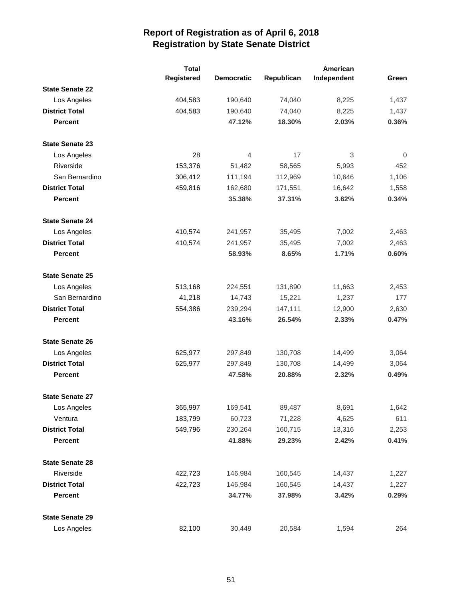|                        | <b>Total</b> |                   |            | American    |             |
|------------------------|--------------|-------------------|------------|-------------|-------------|
|                        | Registered   | <b>Democratic</b> | Republican | Independent | Green       |
| <b>State Senate 22</b> |              |                   |            |             |             |
| Los Angeles            | 404,583      | 190,640           | 74,040     | 8,225       | 1,437       |
| <b>District Total</b>  | 404,583      | 190,640           | 74,040     | 8,225       | 1,437       |
| <b>Percent</b>         |              | 47.12%            | 18.30%     | 2.03%       | 0.36%       |
| <b>State Senate 23</b> |              |                   |            |             |             |
| Los Angeles            | 28           | 4                 | 17         | 3           | $\mathbf 0$ |
| Riverside              | 153,376      | 51,482            | 58,565     | 5,993       | 452         |
| San Bernardino         | 306,412      | 111,194           | 112,969    | 10,646      | 1,106       |
| <b>District Total</b>  | 459,816      | 162,680           | 171,551    | 16,642      | 1,558       |
| <b>Percent</b>         |              | 35.38%            | 37.31%     | 3.62%       | 0.34%       |
| <b>State Senate 24</b> |              |                   |            |             |             |
| Los Angeles            | 410,574      | 241,957           | 35,495     | 7,002       | 2,463       |
| <b>District Total</b>  | 410,574      | 241,957           | 35,495     | 7,002       | 2,463       |
| <b>Percent</b>         |              | 58.93%            | 8.65%      | 1.71%       | 0.60%       |
| <b>State Senate 25</b> |              |                   |            |             |             |
| Los Angeles            | 513,168      | 224,551           | 131,890    | 11,663      | 2,453       |
| San Bernardino         | 41,218       | 14,743            | 15,221     | 1,237       | 177         |
| <b>District Total</b>  | 554,386      | 239,294           | 147,111    | 12,900      | 2,630       |
| <b>Percent</b>         |              | 43.16%            | 26.54%     | 2.33%       | 0.47%       |
| <b>State Senate 26</b> |              |                   |            |             |             |
| Los Angeles            | 625,977      | 297,849           | 130,708    | 14,499      | 3,064       |
| <b>District Total</b>  | 625,977      | 297,849           | 130,708    | 14,499      | 3,064       |
| <b>Percent</b>         |              | 47.58%            | 20.88%     | 2.32%       | 0.49%       |
| <b>State Senate 27</b> |              |                   |            |             |             |
| Los Angeles            | 365,997      | 169,541           | 89,487     | 8,691       | 1,642       |
| Ventura                | 183,799      | 60,723            | 71,228     | 4,625       | 611         |
| <b>District Total</b>  | 549,796      | 230,264           | 160,715    | 13,316      | 2,253       |
| <b>Percent</b>         |              | 41.88%            | 29.23%     | 2.42%       | 0.41%       |
| <b>State Senate 28</b> |              |                   |            |             |             |
| Riverside              | 422,723      | 146,984           | 160,545    | 14,437      | 1,227       |
| <b>District Total</b>  | 422,723      | 146,984           | 160,545    | 14,437      | 1,227       |
| <b>Percent</b>         |              | 34.77%            | 37.98%     | 3.42%       | 0.29%       |
| <b>State Senate 29</b> |              |                   |            |             |             |
| Los Angeles            | 82,100       | 30,449            | 20,584     | 1,594       | 264         |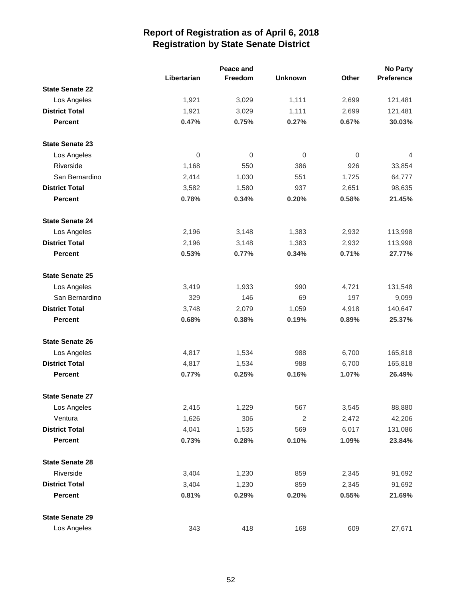|                        |             | Peace and |                |              | <b>No Party</b>   |
|------------------------|-------------|-----------|----------------|--------------|-------------------|
|                        | Libertarian | Freedom   | <b>Unknown</b> | <b>Other</b> | <b>Preference</b> |
| <b>State Senate 22</b> |             |           |                |              |                   |
| Los Angeles            | 1,921       | 3,029     | 1,111          | 2,699        | 121,481           |
| <b>District Total</b>  | 1,921       | 3,029     | 1,111          | 2,699        | 121,481           |
| <b>Percent</b>         | 0.47%       | 0.75%     | 0.27%          | 0.67%        | 30.03%            |
| <b>State Senate 23</b> |             |           |                |              |                   |
| Los Angeles            | 0           | 0         | 0              | $\mathbf 0$  | 4                 |
| Riverside              | 1,168       | 550       | 386            | 926          | 33,854            |
| San Bernardino         | 2,414       | 1,030     | 551            | 1,725        | 64,777            |
| <b>District Total</b>  | 3,582       | 1,580     | 937            | 2,651        | 98,635            |
| <b>Percent</b>         | 0.78%       | 0.34%     | 0.20%          | 0.58%        | 21.45%            |
| <b>State Senate 24</b> |             |           |                |              |                   |
| Los Angeles            | 2,196       | 3,148     | 1,383          | 2,932        | 113,998           |
| <b>District Total</b>  | 2,196       | 3,148     | 1,383          | 2,932        | 113,998           |
| <b>Percent</b>         | 0.53%       | 0.77%     | 0.34%          | 0.71%        | 27.77%            |
| <b>State Senate 25</b> |             |           |                |              |                   |
| Los Angeles            | 3,419       | 1,933     | 990            | 4,721        | 131,548           |
| San Bernardino         | 329         | 146       | 69             | 197          | 9,099             |
| <b>District Total</b>  | 3,748       | 2,079     | 1,059          | 4,918        | 140,647           |
| <b>Percent</b>         | 0.68%       | 0.38%     | 0.19%          | 0.89%        | 25.37%            |
| <b>State Senate 26</b> |             |           |                |              |                   |
| Los Angeles            | 4,817       | 1,534     | 988            | 6,700        | 165,818           |
| <b>District Total</b>  | 4,817       | 1,534     | 988            | 6,700        | 165,818           |
| <b>Percent</b>         | 0.77%       | 0.25%     | 0.16%          | 1.07%        | 26.49%            |
| <b>State Senate 27</b> |             |           |                |              |                   |
| Los Angeles            | 2,415       | 1,229     | 567            | 3,545        | 88,880            |
| Ventura                | 1,626       | 306       | $\sqrt{2}$     | 2,472        | 42,206            |
| <b>District Total</b>  | 4,041       | 1,535     | 569            | 6,017        | 131,086           |
| <b>Percent</b>         | 0.73%       | 0.28%     | 0.10%          | 1.09%        | 23.84%            |
| <b>State Senate 28</b> |             |           |                |              |                   |
| Riverside              | 3,404       | 1,230     | 859            | 2,345        | 91,692            |
| <b>District Total</b>  | 3,404       | 1,230     | 859            | 2,345        | 91,692            |
| <b>Percent</b>         | 0.81%       | 0.29%     | 0.20%          | 0.55%        | 21.69%            |
| <b>State Senate 29</b> |             |           |                |              |                   |
| Los Angeles            | 343         | 418       | 168            | 609          | 27,671            |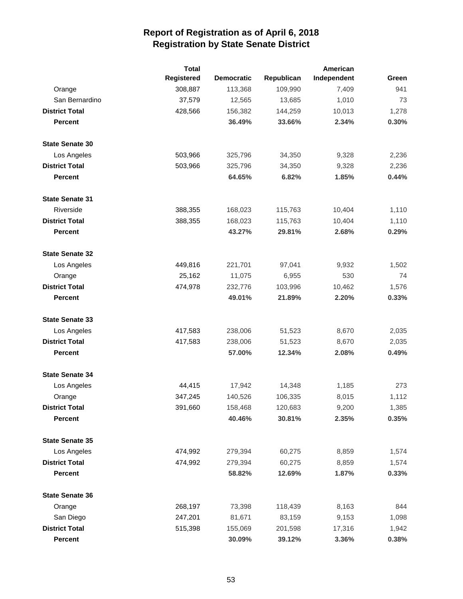|                        | <b>Total</b>      |                   |            | American    |       |
|------------------------|-------------------|-------------------|------------|-------------|-------|
|                        | <b>Registered</b> | <b>Democratic</b> | Republican | Independent | Green |
| Orange                 | 308,887           | 113,368           | 109,990    | 7,409       | 941   |
| San Bernardino         | 37,579            | 12,565            | 13,685     | 1,010       | 73    |
| <b>District Total</b>  | 428,566           | 156,382           | 144,259    | 10,013      | 1,278 |
| <b>Percent</b>         |                   | 36.49%            | 33.66%     | 2.34%       | 0.30% |
| <b>State Senate 30</b> |                   |                   |            |             |       |
| Los Angeles            | 503,966           | 325,796           | 34,350     | 9,328       | 2,236 |
| <b>District Total</b>  | 503,966           | 325,796           | 34,350     | 9,328       | 2,236 |
| <b>Percent</b>         |                   | 64.65%            | 6.82%      | 1.85%       | 0.44% |
| <b>State Senate 31</b> |                   |                   |            |             |       |
| Riverside              | 388,355           | 168,023           | 115,763    | 10,404      | 1,110 |
| <b>District Total</b>  | 388,355           | 168,023           | 115,763    | 10,404      | 1,110 |
| <b>Percent</b>         |                   | 43.27%            | 29.81%     | 2.68%       | 0.29% |
| <b>State Senate 32</b> |                   |                   |            |             |       |
| Los Angeles            | 449,816           | 221,701           | 97,041     | 9,932       | 1,502 |
| Orange                 | 25,162            | 11,075            | 6,955      | 530         | 74    |
| <b>District Total</b>  | 474,978           | 232,776           | 103,996    | 10,462      | 1,576 |
| <b>Percent</b>         |                   | 49.01%            | 21.89%     | 2.20%       | 0.33% |
| <b>State Senate 33</b> |                   |                   |            |             |       |
| Los Angeles            | 417,583           | 238,006           | 51,523     | 8,670       | 2,035 |
| <b>District Total</b>  | 417,583           | 238,006           | 51,523     | 8,670       | 2,035 |
| <b>Percent</b>         |                   | 57.00%            | 12.34%     | 2.08%       | 0.49% |
| <b>State Senate 34</b> |                   |                   |            |             |       |
| Los Angeles            | 44,415            | 17,942            | 14,348     | 1,185       | 273   |
| Orange                 | 347,245           | 140,526           | 106,335    | 8,015       | 1,112 |
| <b>District Total</b>  | 391,660           | 158,468           | 120,683    | 9,200       | 1,385 |
| <b>Percent</b>         |                   | 40.46%            | 30.81%     | 2.35%       | 0.35% |
| <b>State Senate 35</b> |                   |                   |            |             |       |
| Los Angeles            | 474,992           | 279,394           | 60,275     | 8,859       | 1,574 |
| <b>District Total</b>  | 474,992           | 279,394           | 60,275     | 8,859       | 1,574 |
| <b>Percent</b>         |                   | 58.82%            | 12.69%     | 1.87%       | 0.33% |
| <b>State Senate 36</b> |                   |                   |            |             |       |
| Orange                 | 268,197           | 73,398            | 118,439    | 8,163       | 844   |
| San Diego              | 247,201           | 81,671            | 83,159     | 9,153       | 1,098 |
| <b>District Total</b>  | 515,398           | 155,069           | 201,598    | 17,316      | 1,942 |
| Percent                |                   | 30.09%            | 39.12%     | 3.36%       | 0.38% |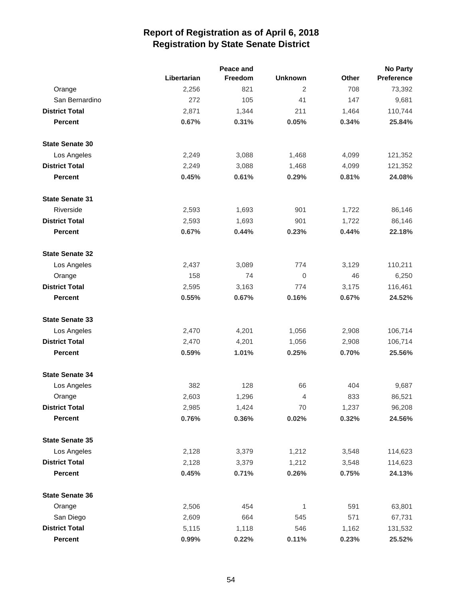|                        |             | Peace and |                |       | <b>No Party</b> |
|------------------------|-------------|-----------|----------------|-------|-----------------|
|                        | Libertarian | Freedom   | <b>Unknown</b> | Other | Preference      |
| Orange                 | 2,256       | 821       | $\overline{2}$ | 708   | 73,392          |
| San Bernardino         | 272         | 105       | 41             | 147   | 9,681           |
| <b>District Total</b>  | 2,871       | 1,344     | 211            | 1,464 | 110,744         |
| <b>Percent</b>         | 0.67%       | 0.31%     | 0.05%          | 0.34% | 25.84%          |
| <b>State Senate 30</b> |             |           |                |       |                 |
| Los Angeles            | 2,249       | 3,088     | 1,468          | 4,099 | 121,352         |
| <b>District Total</b>  | 2,249       | 3,088     | 1,468          | 4,099 | 121,352         |
| <b>Percent</b>         | 0.45%       | 0.61%     | 0.29%          | 0.81% | 24.08%          |
| <b>State Senate 31</b> |             |           |                |       |                 |
| Riverside              | 2,593       | 1,693     | 901            | 1,722 | 86,146          |
| <b>District Total</b>  | 2,593       | 1,693     | 901            | 1,722 | 86,146          |
| <b>Percent</b>         | 0.67%       | 0.44%     | 0.23%          | 0.44% | 22.18%          |
| <b>State Senate 32</b> |             |           |                |       |                 |
| Los Angeles            | 2,437       | 3,089     | 774            | 3,129 | 110,211         |
| Orange                 | 158         | 74        | $\mathbf 0$    | 46    | 6,250           |
| <b>District Total</b>  | 2,595       | 3,163     | 774            | 3,175 | 116,461         |
| <b>Percent</b>         | 0.55%       | 0.67%     | 0.16%          | 0.67% | 24.52%          |
| <b>State Senate 33</b> |             |           |                |       |                 |
| Los Angeles            | 2,470       | 4,201     | 1,056          | 2,908 | 106,714         |
| <b>District Total</b>  | 2,470       | 4,201     | 1,056          | 2,908 | 106,714         |
| <b>Percent</b>         | 0.59%       | 1.01%     | 0.25%          | 0.70% | 25.56%          |
| <b>State Senate 34</b> |             |           |                |       |                 |
| Los Angeles            | 382         | 128       | 66             | 404   | 9,687           |
| Orange                 | 2,603       | 1,296     | $\overline{4}$ | 833   | 86,521          |
| <b>District Total</b>  | 2,985       | 1,424     | 70             | 1,237 | 96,208          |
| <b>Percent</b>         | 0.76%       | 0.36%     | 0.02%          | 0.32% | 24.56%          |
| <b>State Senate 35</b> |             |           |                |       |                 |
| Los Angeles            | 2,128       | 3,379     | 1,212          | 3,548 | 114,623         |
| <b>District Total</b>  | 2,128       | 3,379     | 1,212          | 3,548 | 114,623         |
| Percent                | 0.45%       | 0.71%     | 0.26%          | 0.75% | 24.13%          |
| <b>State Senate 36</b> |             |           |                |       |                 |
| Orange                 | 2,506       | 454       | 1              | 591   | 63,801          |
| San Diego              | 2,609       | 664       | 545            | 571   | 67,731          |
| <b>District Total</b>  | 5,115       | 1,118     | 546            | 1,162 | 131,532         |
| Percent                | 0.99%       | 0.22%     | 0.11%          | 0.23% | 25.52%          |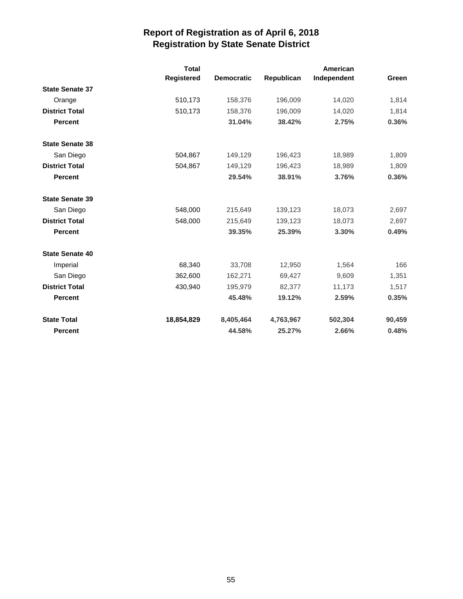|                        | <b>Total</b><br>Registered | <b>Democratic</b> | Republican | American<br>Independent | Green  |
|------------------------|----------------------------|-------------------|------------|-------------------------|--------|
| <b>State Senate 37</b> |                            |                   |            |                         |        |
| Orange                 | 510,173                    | 158,376           | 196,009    | 14,020                  | 1,814  |
| <b>District Total</b>  | 510,173                    | 158,376           | 196,009    | 14,020                  | 1,814  |
| <b>Percent</b>         |                            | 31.04%            | 38.42%     | 2.75%                   | 0.36%  |
| <b>State Senate 38</b> |                            |                   |            |                         |        |
| San Diego              | 504,867                    | 149,129           | 196,423    | 18,989                  | 1,809  |
| <b>District Total</b>  | 504,867                    | 149,129           | 196,423    | 18,989                  | 1,809  |
| <b>Percent</b>         |                            | 29.54%            | 38.91%     | 3.76%                   | 0.36%  |
| <b>State Senate 39</b> |                            |                   |            |                         |        |
| San Diego              | 548,000                    | 215,649           | 139,123    | 18,073                  | 2,697  |
| <b>District Total</b>  | 548,000                    | 215,649           | 139,123    | 18,073                  | 2,697  |
| <b>Percent</b>         |                            | 39.35%            | 25.39%     | 3.30%                   | 0.49%  |
| <b>State Senate 40</b> |                            |                   |            |                         |        |
| Imperial               | 68,340                     | 33,708            | 12,950     | 1,564                   | 166    |
| San Diego              | 362,600                    | 162,271           | 69,427     | 9,609                   | 1,351  |
| <b>District Total</b>  | 430,940                    | 195,979           | 82,377     | 11,173                  | 1,517  |
| <b>Percent</b>         |                            | 45.48%            | 19.12%     | 2.59%                   | 0.35%  |
| <b>State Total</b>     | 18,854,829                 | 8,405,464         | 4,763,967  | 502,304                 | 90,459 |
| <b>Percent</b>         |                            | 44.58%            | 25.27%     | 2.66%                   | 0.48%  |